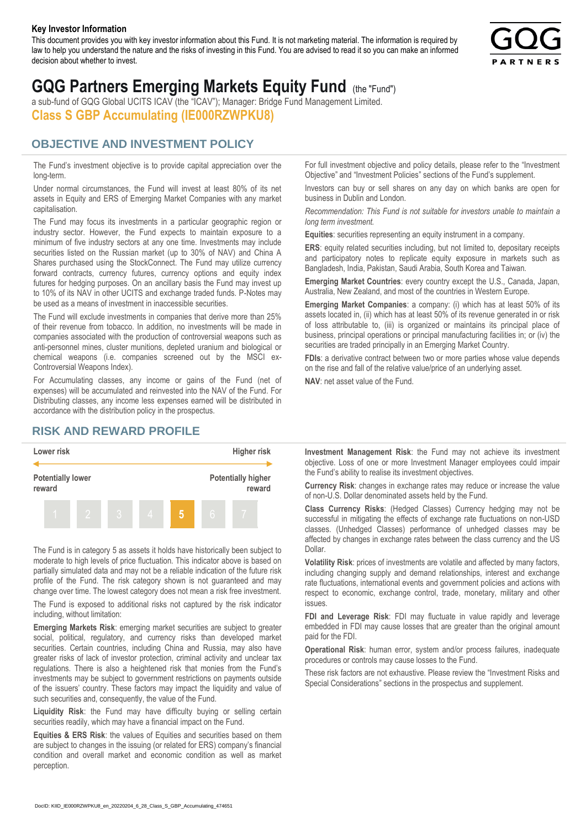#### **Key Investor Information**

This document provides you with key investor information about this Fund. It is not marketing material. The information is required by law to help you understand the nature and the risks of investing in this Fund. You are advised to read it so you can make an informed decision about whether to invest.



# **GQG Partners Emerging Markets Equity Fund** (the "Fund")

a sub-fund of GQG Global UCITS ICAV (the "ICAV"); Manager: Bridge Fund Management Limited. **Class S GBP Accumulating (IE000RZWPKU8)**

#### **OBJECTIVE AND INVESTMENT POLICY**

The Fund's investment objective is to provide capital appreciation over the long-term.

Under normal circumstances, the Fund will invest at least 80% of its net assets in Equity and ERS of Emerging Market Companies with any market capitalisation.

The Fund may focus its investments in a particular geographic region or industry sector. However, the Fund expects to maintain exposure to a minimum of five industry sectors at any one time. Investments may include securities listed on the Russian market (up to 30% of NAV) and China A Shares purchased using the StockConnect. The Fund may utilize currency forward contracts, currency futures, currency options and equity index futures for hedging purposes. On an ancillary basis the Fund may invest up to 10% of its NAV in other UCITS and exchange traded funds. P-Notes may be used as a means of investment in inaccessible securities.

The Fund will exclude investments in companies that derive more than 25% of their revenue from tobacco. In addition, no investments will be made in companies associated with the production of controversial weapons such as anti-personnel mines, cluster munitions, depleted uranium and biological or chemical weapons (i.e. companies screened out by the MSCI ex-Controversial Weapons Index).

For Accumulating classes, any income or gains of the Fund (net of expenses) will be accumulated and reinvested into the NAV of the Fund. For Distributing classes, any income less expenses earned will be distributed in accordance with the distribution policy in the prospectus.

### **RISK AND REWARD PROFILE**



The Fund is in category 5 as assets it holds have historically been subject to moderate to high levels of price fluctuation. This indicator above is based on partially simulated data and may not be a reliable indication of the future risk profile of the Fund. The risk category shown is not guaranteed and may change over time. The lowest category does not mean a risk free investment.

The Fund is exposed to additional risks not captured by the risk indicator including, without limitation:

**Emerging Markets Risk**: emerging market securities are subject to greater social, political, regulatory, and currency risks than developed market securities. Certain countries, including China and Russia, may also have greater risks of lack of investor protection, criminal activity and unclear tax regulations. There is also a heightened risk that monies from the Fund's investments may be subject to government restrictions on payments outside of the issuers' country. These factors may impact the liquidity and value of such securities and, consequently, the value of the Fund.

**Liquidity Risk**: the Fund may have difficulty buying or selling certain securities readily, which may have a financial impact on the Fund.

**Equities & ERS Risk**: the values of Equities and securities based on them are subject to changes in the issuing (or related for ERS) company's financial condition and overall market and economic condition as well as market perception.

For full investment objective and policy details, please refer to the "Investment Objective" and "Investment Policies" sections of the Fund's supplement.

Investors can buy or sell shares on any day on which banks are open for business in Dublin and London.

*Recommendation: This Fund is not suitable for investors unable to maintain a long term investment.*

**Equities**: securities representing an equity instrument in a company.

**ERS:** equity related securities including, but not limited to, depositary receipts and participatory notes to replicate equity exposure in markets such as Bangladesh, India, Pakistan, Saudi Arabia, South Korea and Taiwan.

**Emerging Market Countries**: every country except the U.S., Canada, Japan, Australia, New Zealand, and most of the countries in Western Europe.

**Emerging Market Companies**: a company: (i) which has at least 50% of its assets located in, (ii) which has at least 50% of its revenue generated in or risk of loss attributable to, (iii) is organized or maintains its principal place of business, principal operations or principal manufacturing facilities in; or (iv) the securities are traded principally in an Emerging Market Country.

**FDIs**: a derivative contract between two or more parties whose value depends on the rise and fall of the relative value/price of an underlying asset.

**NAV**: net asset value of the Fund.

**Investment Management Risk**: the Fund may not achieve its investment objective. Loss of one or more Investment Manager employees could impair the Fund's ability to realise its investment objectives.

**Currency Risk**: changes in exchange rates may reduce or increase the value of non-U.S. Dollar denominated assets held by the Fund.

**Class Currency Risks**: (Hedged Classes) Currency hedging may not be successful in mitigating the effects of exchange rate fluctuations on non-USD classes. (Unhedged Classes) performance of unhedged classes may be affected by changes in exchange rates between the class currency and the US Dollar.

**Volatility Risk**: prices of investments are volatile and affected by many factors, including changing supply and demand relationships, interest and exchange rate fluctuations, international events and government policies and actions with respect to economic, exchange control, trade, monetary, military and other issues.

**FDI and Leverage Risk**: FDI may fluctuate in value rapidly and leverage embedded in FDI may cause losses that are greater than the original amount paid for the FDI.

**Operational Risk**: human error, system and/or process failures, inadequate procedures or controls may cause losses to the Fund.

These risk factors are not exhaustive. Please review the "Investment Risks and Special Considerations" sections in the prospectus and supplement.